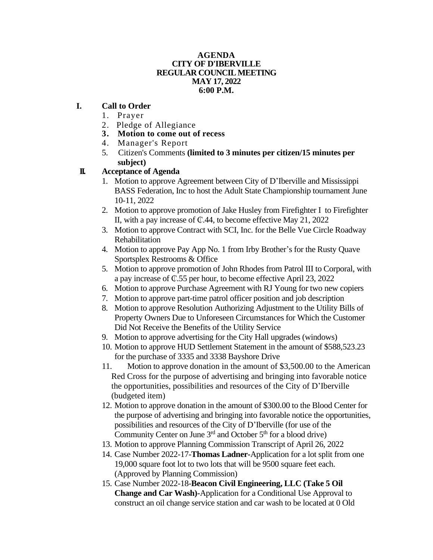#### **AGENDA CITY OF D'IBERVILLE REGULAR COUNCIL MEETING MAY 17, 2022 6:00 P.M.**

#### **I. Call to Order**

- 1. Prayer
- 2. Pledge of Allegiance
- **3. Motion to come out of recess**
- 4. Manager's Report
- 5. Citizen's Comments **(limited to 3 minutes per citizen/15 minutes per subject)**

### **II. Acceptance of Agenda**

- 1. Motion to approve Agreement between City of D'Iberville and Mississippi BASS Federation, Inc to host the Adult State Championship tournament June 10-11, 2022
- 2. Motion to approve promotion of Jake Husley from Firefighter I to Firefighter II, with a pay increase of  $\mathbb{C}$ .44, to become effective May 21, 2022
- 3. Motion to approve Contract with SCI, Inc. for the Belle Vue Circle Roadway Rehabilitation
- 4. Motion to approve Pay App No. 1 from Irby Brother's for the Rusty Quave Sportsplex Restrooms & Office
- 5. Motion to approve promotion of John Rhodes from Patrol III to Corporal, with a pay increase of ₵.55 per hour, to become effective April 23, 2022
- 6. Motion to approve Purchase Agreement with RJ Young for two new copiers
- 7. Motion to approve part-time patrol officer position and job description
- 8. Motion to approve Resolution Authorizing Adjustment to the Utility Bills of Property Owners Due to Unforeseen Circumstances for Which the Customer Did Not Receive the Benefits of the Utility Service
- 9. Motion to approve advertising for the City Hall upgrades (windows)
- 10. Motion to approve HUD Settlement Statement in the amount of \$588,523.23 for the purchase of 3335 and 3338 Bayshore Drive
- 11. Motion to approve donation in the amount of \$3,500.00 to the American Red Cross for the purpose of advertising and bringing into favorable notice the opportunities, possibilities and resources of the City of D'Iberville (budgeted item)
- 12. Motion to approve donation in the amount of \$300.00 to the Blood Center for the purpose of advertising and bringing into favorable notice the opportunities, possibilities and resources of the City of D'Iberville (for use of the Community Center on June  $3<sup>rd</sup>$  and October  $5<sup>th</sup>$  for a blood drive)
- 13. Motion to approve Planning Commission Transcript of April 26, 2022
- 14. Case Number 2022-17-**Thomas Ladner-**Application for a lot split from one 19,000 square foot lot to two lots that will be 9500 square feet each. (Approved by Planning Commission)
- 15. Case Number 2022-18-**Beacon Civil Engineering, LLC (Take 5 Oil Change and Car Wash)-**Application for a Conditional Use Approval to construct an oil change service station and car wash to be located at 0 Old